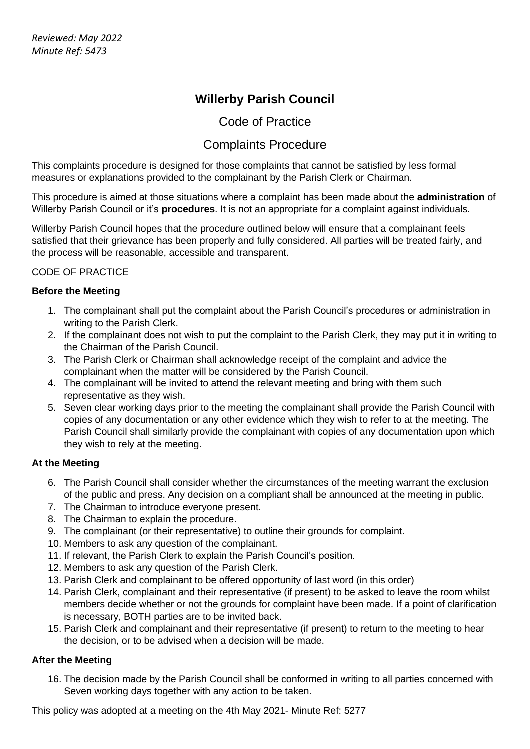# **Willerby Parish Council**

### Code of Practice

## Complaints Procedure

This complaints procedure is designed for those complaints that cannot be satisfied by less formal measures or explanations provided to the complainant by the Parish Clerk or Chairman.

This procedure is aimed at those situations where a complaint has been made about the **administration** of Willerby Parish Council or it's **procedures**. It is not an appropriate for a complaint against individuals.

Willerby Parish Council hopes that the procedure outlined below will ensure that a complainant feels satisfied that their grievance has been properly and fully considered. All parties will be treated fairly, and the process will be reasonable, accessible and transparent.

### CODE OF PRACTICE

#### **Before the Meeting**

- 1. The complainant shall put the complaint about the Parish Council's procedures or administration in writing to the Parish Clerk.
- 2. If the complainant does not wish to put the complaint to the Parish Clerk, they may put it in writing to the Chairman of the Parish Council.
- 3. The Parish Clerk or Chairman shall acknowledge receipt of the complaint and advice the complainant when the matter will be considered by the Parish Council.
- 4. The complainant will be invited to attend the relevant meeting and bring with them such representative as they wish.
- 5. Seven clear working days prior to the meeting the complainant shall provide the Parish Council with copies of any documentation or any other evidence which they wish to refer to at the meeting. The Parish Council shall similarly provide the complainant with copies of any documentation upon which they wish to rely at the meeting.

### **At the Meeting**

- 6. The Parish Council shall consider whether the circumstances of the meeting warrant the exclusion of the public and press. Any decision on a compliant shall be announced at the meeting in public.
- 7. The Chairman to introduce everyone present.
- 8. The Chairman to explain the procedure.
- 9. The complainant (or their representative) to outline their grounds for complaint.
- 10. Members to ask any question of the complainant.
- 11. If relevant, the Parish Clerk to explain the Parish Council's position.
- 12. Members to ask any question of the Parish Clerk.
- 13. Parish Clerk and complainant to be offered opportunity of last word (in this order)
- 14. Parish Clerk, complainant and their representative (if present) to be asked to leave the room whilst members decide whether or not the grounds for complaint have been made. If a point of clarification is necessary, BOTH parties are to be invited back.
- 15. Parish Clerk and complainant and their representative (if present) to return to the meeting to hear the decision, or to be advised when a decision will be made.

### **After the Meeting**

16. The decision made by the Parish Council shall be conformed in writing to all parties concerned with Seven working days together with any action to be taken.

This policy was adopted at a meeting on the 4th May 2021- Minute Ref: 5277